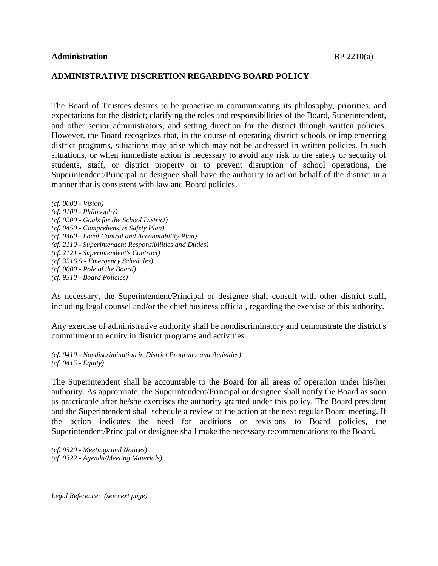## **ADMINISTRATIVE DISCRETION REGARDING BOARD POLICY**

The Board of Trustees desires to be proactive in communicating its philosophy, priorities, and expectations for the district; clarifying the roles and responsibilities of the Board, Superintendent, and other senior administrators; and setting direction for the district through written policies. However, the Board recognizes that, in the course of operating district schools or implementing district programs, situations may arise which may not be addressed in written policies. In such situations, or when immediate action is necessary to avoid any risk to the safety or security of students, staff, or district property or to prevent disruption of school operations, the Superintendent/Principal or designee shall have the authority to act on behalf of the district in a manner that is consistent with law and Board policies.

*(cf. 0000 - Vision) (cf. 0100 - Philosophy) (cf. 0200 - Goals for the School District) (cf. 0450 - Comprehensive Safety Plan) (cf. 0460 - Local Control and Accountability Plan) (cf. 2110 - Superintendent Responsibilities and Duties) (cf. 2121 - Superintendent's Contract) (cf. 3516.5 - Emergency Schedules) (cf. 9000 - Role of the Board) (cf. 9310 - Board Policies)*

As necessary, the Superintendent/Principal or designee shall consult with other district staff, including legal counsel and/or the chief business official, regarding the exercise of this authority.

Any exercise of administrative authority shall be nondiscriminatory and demonstrate the district's commitment to equity in district programs and activities.

*(cf. 0410 - Nondiscrimination in District Programs and Activities) (cf. 0415 - Equity)*

The Superintendent shall be accountable to the Board for all areas of operation under his/her authority. As appropriate, the Superintendent/Principal or designee shall notify the Board as soon as practicable after he/she exercises the authority granted under this policy. The Board president and the Superintendent shall schedule a review of the action at the next regular Board meeting. If the action indicates the need for additions or revisions to Board policies, the Superintendent/Principal or designee shall make the necessary recommendations to the Board.

*(cf. 9320 - Meetings and Notices) (cf. 9322 - Agenda/Meeting Materials)*

*Legal Reference: (see next page)*